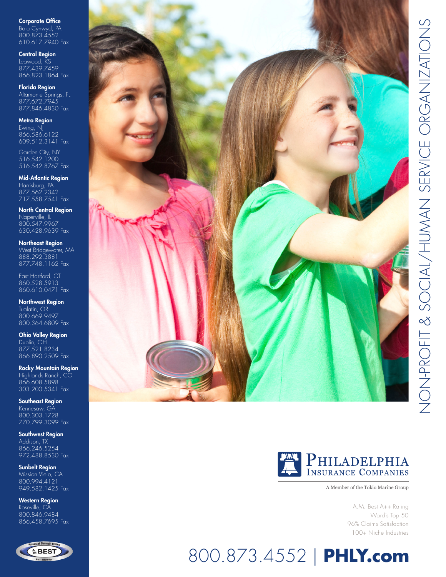Corporate Office Bala Cynwyd, PA 800.873.4552 610.617.7940 Fax

Central Region Leawood, KS 877.439.7459 866.823.1864 Fax

Florida Region Altamonte Springs, FL 877.672.7945 877.846.4830 Fax

Metro Region Ewing, NJ 866.586.6122 609.512.3141 Fax

Garden City, NY 516.542.1200 516.542.8767 Fax

**Mid-Atlantic Region** Harrisburg, PA 877.562.2342 717.558.7541 Fax

North Central Region Naperville, IL 800.547.9967 630.428.9639 Fax

Northeast Region West Bridgewater, MA 888.292.3881 877.748.1162 Fax

East Hartford, CT 860.528.5913 860.610.0471 Fax

Northwest Region Tualatin, OR 800.669.9497 800.364.6809 Fax

Ohio Valley Region Dublin, OH 877.521.8234 866.890.2509 Fax

Rocky Mountain Region Highlands Ranch, CO 866.608.5898 303.200.5341 Fax

Southeast Region Kennesaw, GA 800.303.1728 770.799.3099 Fax

Southwest Region Addison, TX 866.246.5254 972.488.8530 Fax

Sunbelt Region Mission Viejo, CA 800.994.4121 949.582.1425 Fax

Western Region Roseville, CA 800.846.9484 866.458.7695 Fax







A Member of the Tokio Marine Group

A.M. Best A++ Rating Ward's Top 50 96% Claims Satisfaction 100+ Niche Industries

# 800.873.4552 | **PHLY.com**